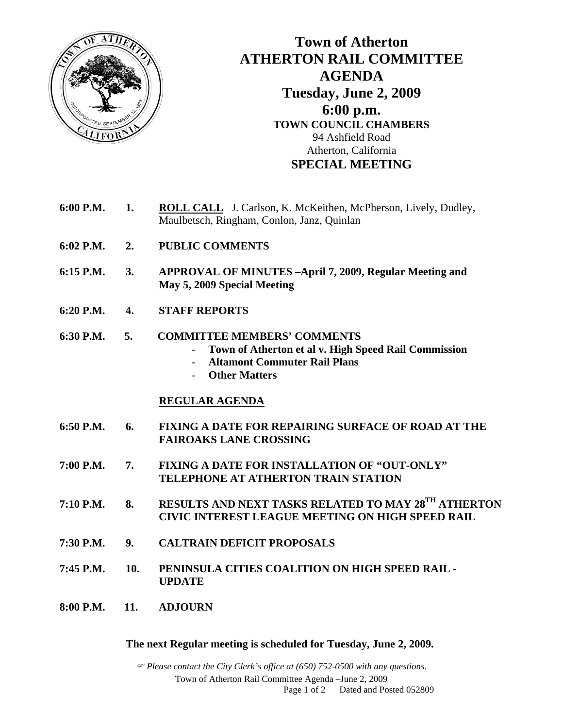

## **Town of Atherton ATHERTON RAIL COMMITTEE AGENDA Tuesday, June 2, 2009 6:00 p.m. TOWN COUNCIL CHAMBERS**  94 Ashfield Road Atherton, California **SPECIAL MEETING**

- **6:00 P.M. 1. ROLL CALL** J. Carlson, K. McKeithen, McPherson, Lively, Dudley, Maulbetsch, Ringham, Conlon, Janz, Quinlan
- **6:02 P.M. 2. PUBLIC COMMENTS**
- **6:15 P.M. 3. APPROVAL OF MINUTES –April 7, 2009, Regular Meeting and May 5, 2009 Special Meeting**
- **6:20 P.M. 4. STAFF REPORTS**

## **6:30 P.M. 5. COMMITTEE MEMBERS' COMMENTS**

- **Town of Atherton et al v. High Speed Rail Commission**
- **Altamont Commuter Rail Plans**
- **Other Matters**

## **REGULAR AGENDA**

- **6:50 P.M. 6. FIXING A DATE FOR REPAIRING SURFACE OF ROAD AT THE FAIROAKS LANE CROSSING**
- **7:00 P.M. 7. FIXING A DATE FOR INSTALLATION OF "OUT-ONLY" TELEPHONE AT ATHERTON TRAIN STATION**
- **7:10 P.M. 8. RESULTS AND NEXT TASKS RELATED TO MAY 28TH ATHERTON CIVIC INTEREST LEAGUE MEETING ON HIGH SPEED RAIL**
- **7:30 P.M. 9. CALTRAIN DEFICIT PROPOSALS**
- **7:45 P.M. 10. PENINSULA CITIES COALITION ON HIGH SPEED RAIL UPDATE**
- **8:00 P.M. 11. ADJOURN**

## **The next Regular meeting is scheduled for Tuesday, June 2, 2009.**

) *Please contact the City Clerk's office at (650) 752-0500 with any questions.*  Town of Atherton Rail Committee Agenda –June 2, 2009 Page 1 of 2 Dated and Posted 052809